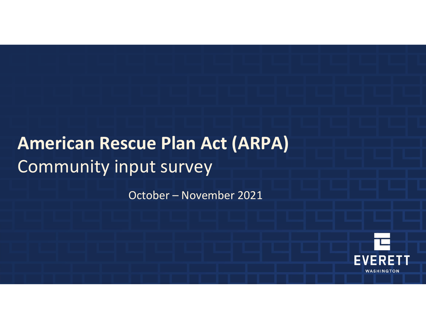## **American Rescue Plan Act (ARPA)** Community input survey

October – November 2021

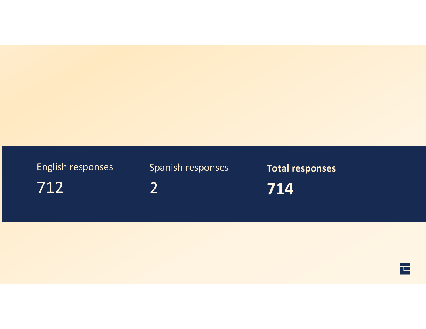## 712 English responses

Spanish responses

2

**Total responses**

**714**

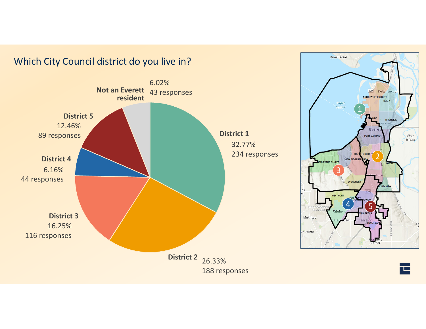